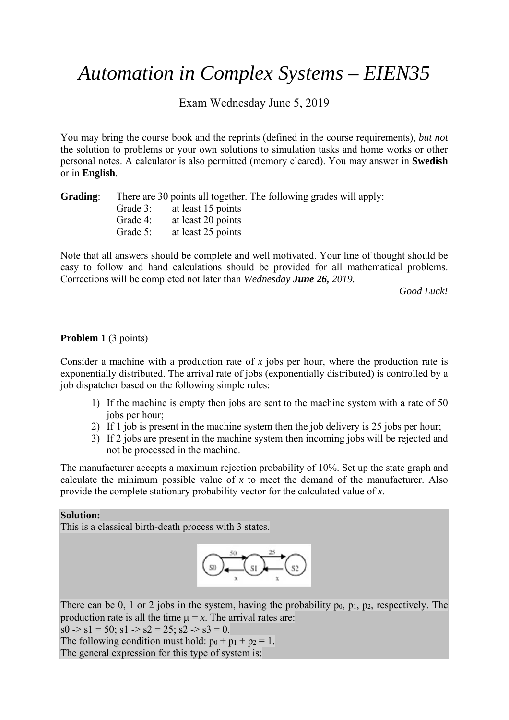# *Automation in Complex Systems – EIEN35*

Exam Wednesday June 5, 2019

You may bring the course book and the reprints (defined in the course requirements), *but not*  the solution to problems or your own solutions to simulation tasks and home works or other personal notes. A calculator is also permitted (memory cleared). You may answer in **Swedish** or in **English**.

| Grading: |             |                             | There are 30 points all together. The following grades will apply: |  |
|----------|-------------|-----------------------------|--------------------------------------------------------------------|--|
|          |             | Grade 3: at least 15 points |                                                                    |  |
|          | Grade 4:    | at least 20 points          |                                                                    |  |
|          | Grade $5$ : | at least 25 points          |                                                                    |  |

Note that all answers should be complete and well motivated. Your line of thought should be easy to follow and hand calculations should be provided for all mathematical problems. Corrections will be completed not later than *Wednesday June 26, 2019.*

*Good Luck!* 

## **Problem 1** (3 points)

Consider a machine with a production rate of *x* jobs per hour, where the production rate is exponentially distributed. The arrival rate of jobs (exponentially distributed) is controlled by a job dispatcher based on the following simple rules:

- 1) If the machine is empty then jobs are sent to the machine system with a rate of 50 jobs per hour;
- 2) If 1 job is present in the machine system then the job delivery is 25 jobs per hour;
- 3) If 2 jobs are present in the machine system then incoming jobs will be rejected and not be processed in the machine.

The manufacturer accepts a maximum rejection probability of 10%. Set up the state graph and calculate the minimum possible value of *x* to meet the demand of the manufacturer. Also provide the complete stationary probability vector for the calculated value of *x*.

## **Solution:**

This is a classical birth-death process with 3 states.



There can be  $0$ , 1 or 2 jobs in the system, having the probability po, p<sub>1</sub>, p<sub>2</sub>, respectively. The production rate is all the time  $\mu = x$ . The arrival rates are:

 $s0 \rightarrow s1 = 50$ ;  $s1 \rightarrow s2 = 25$ ;  $s2 \rightarrow s3 = 0$ .

The following condition must hold:  $p_0 + p_1 + p_2 = 1$ .

The general expression for this type of system is: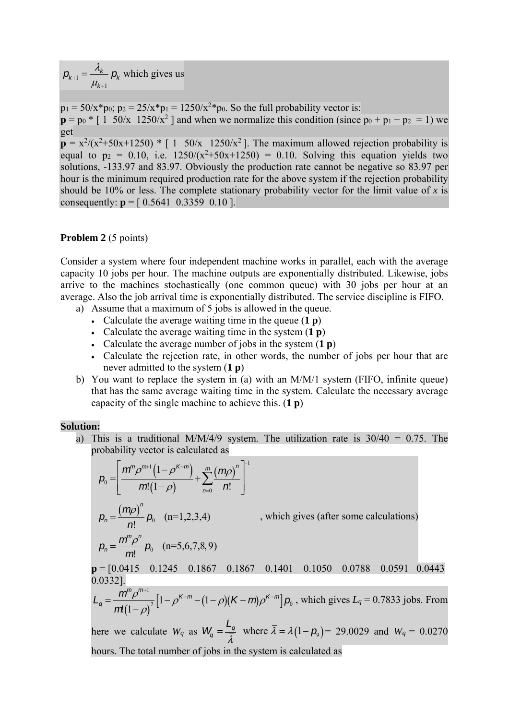$p_{k+1} = \frac{\lambda_k}{\mu_{k+1}} p_k$  which gives us *k* 1  $^{+}$ 

 $p_1 = 50/x * p_0$ ;  $p_2 = 25/x * p_1 = 1250/x^2 * p_0$ . So the full probability vector is:  $p = p_0 * [1 \ 50/x \ 1250/x^2]$  and when we normalize this condition (since  $p_0 + p_1 + p_2 = 1$ ) we get  $p = x^2/(x^2+50x+1250) * [1 \t 50/x \t 1250/x^2]$ . The maximum allowed rejection probability is equal to  $p_2 = 0.10$ , i.e.  $1250/(x^2+50x+1250) = 0.10$ . Solving this equation yields two solutions, -133.97 and 83.97. Obviously the production rate cannot be negative so 83.97 per hour is the minimum required production rate for the above system if the rejection probability should be 10% or less. The complete stationary probability vector for the limit value of  $x$  is

# consequently:  $p = [0.5641 \ 0.3359 \ 0.101]$

#### **Problem 2** (5 points)

Consider a system where four independent machine works in parallel, each with the average capacity 10 jobs per hour. The machine outputs are exponentially distributed. Likewise, jobs arrive to the machines stochastically (one common queue) with 30 jobs per hour at an average. Also the job arrival time is exponentially distributed. The service discipline is FIFO.

- a) Assume that a maximum of 5 jobs is allowed in the queue.
	- Calculate the average waiting time in the queue (**1 p**)
	- Calculate the average waiting time in the system (**1 p**)
	- Calculate the average number of jobs in the system (**1 p**)
	- Calculate the rejection rate, in other words, the number of jobs per hour that are never admitted to the system (**1 p**)
- b) You want to replace the system in (a) with an M/M/1 system (FIFO, infinite queue) that has the same average waiting time in the system. Calculate the necessary average capacity of the single machine to achieve this. (**1 p**)

#### **Solution:**

a) This is a traditional M/M/4/9 system. The utilization rate is  $30/40 = 0.75$ . The probability vector is calculated as

$$
p_0 = \left[ \frac{m^n \rho^{m+1} (1 - \rho^{K-m})}{m! (1 - \rho)} + \sum_{n=0}^{m} \frac{(m \rho)^n}{n!} \right]^{1}
$$
  
\n
$$
p_n = \frac{(m \rho)^n}{n!} p_0 \quad (n=1,2,3,4) \qquad \text{, which gives (after some calculations)}
$$
  
\n
$$
p_n = \frac{m^n \rho^n}{m!} p_0 \quad (n=5,6,7,8,9)
$$
  
\n
$$
p = [0.0415 \quad 0.1245 \quad 0.1867 \quad 0.1867 \quad 0.1401 \quad 0.1050 \quad 0.0788 \quad 0.0591 \quad 0.0443
$$
  
\n0.0332].  
\n
$$
\overline{L}_q = \frac{m^n \rho^{m+1}}{m (1 - \rho)^2} [1 - \rho^{K-m} - (1 - \rho)(K - m) \rho^{K-m}] p_0 \text{, which gives } L_q = 0.7833 \text{ jobs. From}
$$
  
\nhere we calculate  $W_q$  as  $W_q = \frac{\overline{L}_q}{\overline{\lambda}}$  where  $\overline{\lambda} = \lambda (1 - p_0) = 29.0029$  and  $W_q = 0.0270$   
\nhours. The total number of jobs in the system is calculated as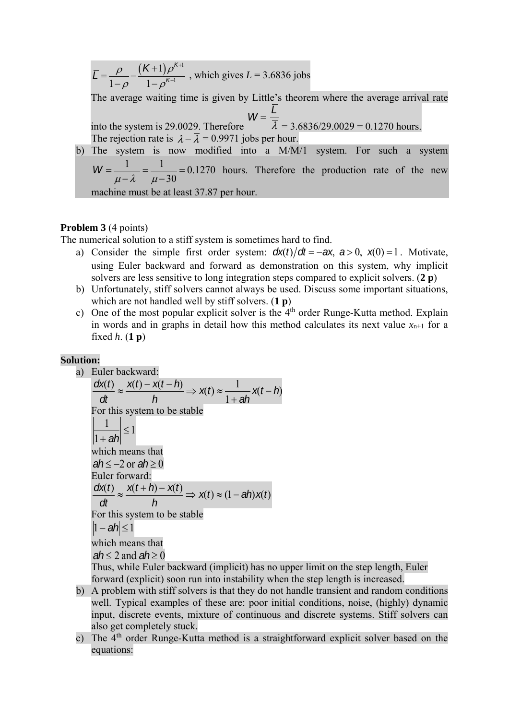$\overline{L} = \frac{\rho}{\sqrt{2}}$  $1-\rho$  $-\frac{(K+1)\rho^{K+1}}{K+1}$  $\frac{(1+1)P}{1-P^{K+1}}$ , which gives  $L = 3.6836$  jobs

The average waiting time is given by Little's theorem where the average arrival rate into the system is 29.0029. Therefore  $W = \frac{L}{I}$  $\lambda = 3.6836/29.0029 = 0.1270$  hours. The rejection rate is  $\lambda - \overline{\lambda} = 0.9971$  jobs per hour.

b) The system is now modified into a M/M/1 system. For such a system  $W = \frac{1}{\mu - \lambda} = \frac{1}{\mu - 30} = 0.1270$  hours. Therefore the production rate of the new

machine must be at least 37.87 per hour.

## **Problem 3** (4 points)

The numerical solution to a stiff system is sometimes hard to find.

- a) Consider the simple first order system:  $dx(t)/dt = -ax$ ,  $a > 0$ ,  $x(0) = 1$ . Motivate, using Euler backward and forward as demonstration on this system, why implicit solvers are less sensitive to long integration steps compared to explicit solvers. (**2 p**)
- b) Unfortunately, stiff solvers cannot always be used. Discuss some important situations, which are not handled well by stiff solvers. (**1 p**)
- c) One of the most popular explicit solver is the  $4<sup>th</sup>$  order Runge-Kutta method. Explain in words and in graphs in detail how this method calculates its next value  $x_{n+1}$  for a fixed *h*. (**1 p**)

## **Solution:**

a) Euler backward:  $\frac{f(t)}{dt} \approx \frac{x(t) - x(t-h)}{h} \Rightarrow x(t) \approx \frac{1}{1+ah}x(t-h)$ *ah x t h x t x t h*  $\frac{d\mathsf{x}(t)}{dt} \approx \frac{\mathsf{x}(t) - \mathsf{x}(t-h)}{h} \Rightarrow \mathsf{x}(t) \approx \frac{1}{1+ah}\mathsf{x}(t-h)$ For this system to be stable 1 1  $\frac{1}{\sqrt{2}}$  *ah* which means that  $ah < -2$  or  $ah > 0$ Euler forward:  $\frac{f(t)}{dt} \approx \frac{x(t+h) - x(t)}{t} \Rightarrow x(t) \approx (1 - ah)x(t)$ *h*  $x(t+h) - x(t)$ *dt*  $\frac{d\mathsf{x}(t)}{dt} \approx \frac{\mathsf{x}(t+h) - \mathsf{x}(t)}{t} \Rightarrow \mathsf{x}(t) \approx (1 -$ For this system to be stable  $|1 - ah| \leq 1$ which means that  $ah \leq 2$  and  $ah \geq 0$ 

Thus, while Euler backward (implicit) has no upper limit on the step length, Euler forward (explicit) soon run into instability when the step length is increased.

- b) A problem with stiff solvers is that they do not handle transient and random conditions well. Typical examples of these are: poor initial conditions, noise, (highly) dynamic input, discrete events, mixture of continuous and discrete systems. Stiff solvers can also get completely stuck.
- c) The  $4<sup>th</sup>$  order Runge-Kutta method is a straightforward explicit solver based on the equations: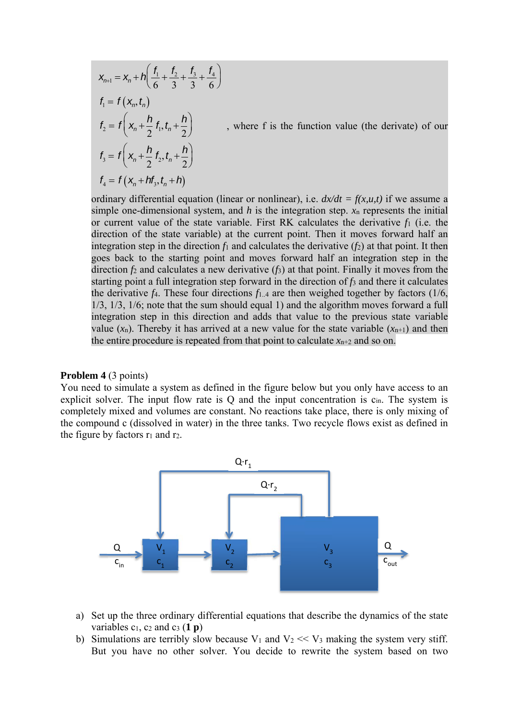$$
\mathbf{x}_{n+1} = \mathbf{x}_n + h \bigg( \frac{f_1}{6} + \frac{f_2}{3} + \frac{f_3}{3} + \frac{f_4}{6} \bigg)
$$
  
\n
$$
f_1 = f(\mathbf{x}_n, t_n)
$$
  
\n
$$
f_2 = f \bigg( \mathbf{x}_n + \frac{h}{2} f_1, t_n + \frac{h}{2} \bigg)
$$
, where f is the function value (the derivative) of our  
\n
$$
f_3 = f \bigg( \mathbf{x}_n + \frac{h}{2} f_2, t_n + \frac{h}{2} \bigg)
$$
  
\n
$$
f_4 = f(\mathbf{x}_n + h f_3, t_n + h)
$$

ordinary differential equation (linear or nonlinear), i.e.  $dx/dt = f(x, u, t)$  if we assume a simple one-dimensional system, and  $h$  is the integration step.  $x_n$  represents the initial or current value of the state variable. First RK calculates the derivative *f*1 (i.e. the direction of the state variable) at the current point. Then it moves forward half an integration step in the direction  $f_1$  and calculates the derivative  $(f_2)$  at that point. It then goes back to the starting point and moves forward half an integration step in the direction *f*2 and calculates a new derivative (*f*3) at that point. Finally it moves from the starting point a full integration step forward in the direction of *f*3 and there it calculates the derivative  $f_4$ . These four directions  $f_{1,4}$  are then weighed together by factors (1/6, 1/3, 1/3, 1/6; note that the sum should equal 1) and the algorithm moves forward a full integration step in this direction and adds that value to the previous state variable value  $(x_n)$ . Thereby it has arrived at a new value for the state variable  $(x_{n+1})$  and then the entire procedure is repeated from that point to calculate  $x_{n+2}$  and so on.

#### **Problem 4** (3 points)

You need to simulate a system as defined in the figure below but you only have access to an explicit solver. The input flow rate is Q and the input concentration is  $c_{in}$ . The system is completely mixed and volumes are constant. No reactions take place, there is only mixing of the compound c (dissolved in water) in the three tanks. Two recycle flows exist as defined in the figure by factors  $r_1$  and  $r_2$ .



- a) Set up the three ordinary differential equations that describe the dynamics of the state variables  $c_1$ ,  $c_2$  and  $c_3$  (**1 p**)
- b) Simulations are terribly slow because  $V_1$  and  $V_2 \ll V_3$  making the system very stiff. But you have no other solver. You decide to rewrite the system based on two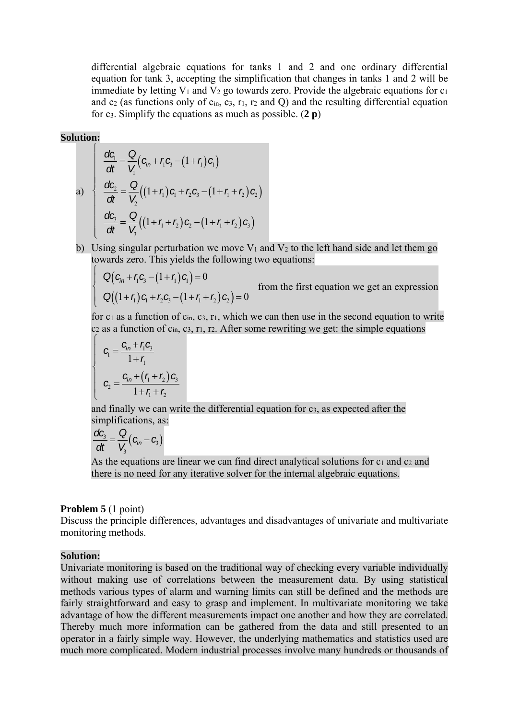differential algebraic equations for tanks 1 and 2 and one ordinary differential equation for tank 3, accepting the simplification that changes in tanks 1 and 2 will be immediate by letting  $V_1$  and  $V_2$  go towards zero. Provide the algebraic equations for  $c_1$ and  $c_2$  (as functions only of  $c_{in}$ ,  $c_3$ ,  $r_1$ ,  $r_2$  and Q) and the resulting differential equation for c3. Simplify the equations as much as possible. (**2 p**)

## **Solution:**

 $\int$  $\left\{ \right.$  $\mathbf{I}$ 

 $\overline{\mathcal{L}}$  $\mathbf{I}$ 

 $\int$ 

 $\mathbf{I}$  $\mathbf{I}$ 

 $\left\{ \right.$ 

 $\mathbf{I}$  $\mathbf{I}$ 

 $\overline{\mathcal{L}}$ 

a)
$$
\frac{dC_1}{dt} = \frac{Q}{V_1} (c_{in} + r_1 c_3 - (1 + r_1) c_1)
$$
  
\na)
$$
\frac{dC_2}{dt} = \frac{Q}{V_2} ((1 + r_1) c_1 + r_2 c_3 - (1 + r_1 + r_2) c_2)
$$
  
\n
$$
\frac{dC_3}{dt} = \frac{Q}{V_3} ((1 + r_1 + r_2) c_2 - (1 + r_1 + r_2) c_3)
$$

b) Using singular perturbation we move  $V_1$  and  $V_2$  to the left hand side and let them go towards zero. This yields the following two equations:

$$
Q\big(c_{in} + r_1c_3 - (1+r_1)c_1\big) = 0
$$
  
Q\big((1+r\_1)c\_1 + r\_2c\_3 - (1+r\_1+r\_2)c\_2\big) = 0

from the first equation we get an expression

for  $c_1$  as a function of  $c_{in}$ ,  $c_3$ ,  $r_1$ , which we can then use in the second equation to write  $c_2$  as a function of  $c_{in}$ ,  $c_3$ ,  $r_1$ ,  $r_2$ . After some rewriting we get: the simple equations

$$
C_1 = \frac{C_{in} + r_1 C_3}{1 + r_1}
$$

$$
C_2 = \frac{C_{in} + (r_1 + r_2) C_3}{1 + r_1 + r_2}
$$

and finally we can write the differential equation for c3, as expected after the simplifications, as:

$$
\frac{dC_3}{dt} = \frac{Q}{V_3}(C_{in} - C_3)
$$

As the equations are linear we can find direct analytical solutions for  $c_1$  and  $c_2$  and there is no need for any iterative solver for the internal algebraic equations.

## **Problem 5** (1 point)

Discuss the principle differences, advantages and disadvantages of univariate and multivariate monitoring methods.

#### **Solution:**

Univariate monitoring is based on the traditional way of checking every variable individually without making use of correlations between the measurement data. By using statistical methods various types of alarm and warning limits can still be defined and the methods are fairly straightforward and easy to grasp and implement. In multivariate monitoring we take advantage of how the different measurements impact one another and how they are correlated. Thereby much more information can be gathered from the data and still presented to an operator in a fairly simple way. However, the underlying mathematics and statistics used are much more complicated. Modern industrial processes involve many hundreds or thousands of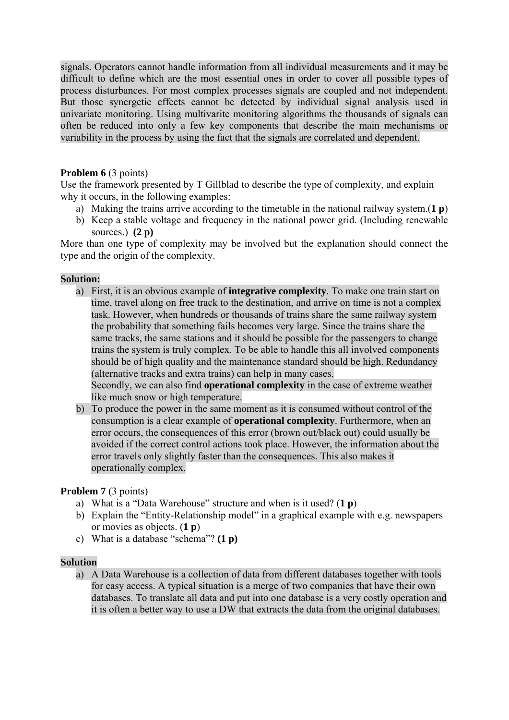signals. Operators cannot handle information from all individual measurements and it may be difficult to define which are the most essential ones in order to cover all possible types of process disturbances. For most complex processes signals are coupled and not independent. But those synergetic effects cannot be detected by individual signal analysis used in univariate monitoring. Using multivarite monitoring algorithms the thousands of signals can often be reduced into only a few key components that describe the main mechanisms or variability in the process by using the fact that the signals are correlated and dependent.

# **Problem 6** (3 points)

Use the framework presented by T Gillblad to describe the type of complexity, and explain why it occurs, in the following examples:

- a) Making the trains arrive according to the timetable in the national railway system.(**1 p**)
- b) Keep a stable voltage and frequency in the national power grid. (Including renewable sources.) **(2 p)**

More than one type of complexity may be involved but the explanation should connect the type and the origin of the complexity.

# **Solution:**

a) First, it is an obvious example of **integrative complexity**. To make one train start on time, travel along on free track to the destination, and arrive on time is not a complex task. However, when hundreds or thousands of trains share the same railway system the probability that something fails becomes very large. Since the trains share the same tracks, the same stations and it should be possible for the passengers to change trains the system is truly complex. To be able to handle this all involved components should be of high quality and the maintenance standard should be high. Redundancy (alternative tracks and extra trains) can help in many cases.

Secondly, we can also find **operational complexity** in the case of extreme weather like much snow or high temperature.

b) To produce the power in the same moment as it is consumed without control of the consumption is a clear example of **operational complexity**. Furthermore, when an error occurs, the consequences of this error (brown out/black out) could usually be avoided if the correct control actions took place. However, the information about the error travels only slightly faster than the consequences. This also makes it operationally complex.

# **Problem 7** (3 points)

- a) What is a "Data Warehouse" structure and when is it used? (**1 p**)
- b) Explain the "Entity-Relationship model" in a graphical example with e.g. newspapers or movies as objects. (**1 p**)
- c) What is a database "schema"? **(1 p)**

# **Solution**

a) A Data Warehouse is a collection of data from different databases together with tools for easy access. A typical situation is a merge of two companies that have their own databases. To translate all data and put into one database is a very costly operation and it is often a better way to use a DW that extracts the data from the original databases.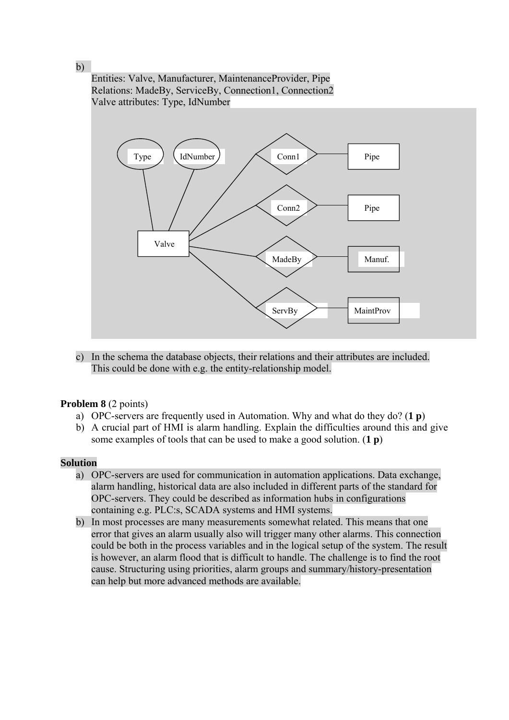Entities: Valve, Manufacturer, MaintenanceProvider, Pipe Relations: MadeBy, ServiceBy, Connection1, Connection2 Valve attributes: Type, IdNumber



c) In the schema the database objects, their relations and their attributes are included. This could be done with e.g. the entity-relationship model.

# **Problem 8** (2 points)

- a) OPC-servers are frequently used in Automation. Why and what do they do? (**1 p**)
- b) A crucial part of HMI is alarm handling. Explain the difficulties around this and give some examples of tools that can be used to make a good solution. (**1 p**)

## **Solution**

- a) OPC-servers are used for communication in automation applications. Data exchange, alarm handling, historical data are also included in different parts of the standard for OPC-servers. They could be described as information hubs in configurations containing e.g. PLC:s, SCADA systems and HMI systems.
- b) In most processes are many measurements somewhat related. This means that one error that gives an alarm usually also will trigger many other alarms. This connection could be both in the process variables and in the logical setup of the system. The result is however, an alarm flood that is difficult to handle. The challenge is to find the root cause. Structuring using priorities, alarm groups and summary/history-presentation can help but more advanced methods are available.

b)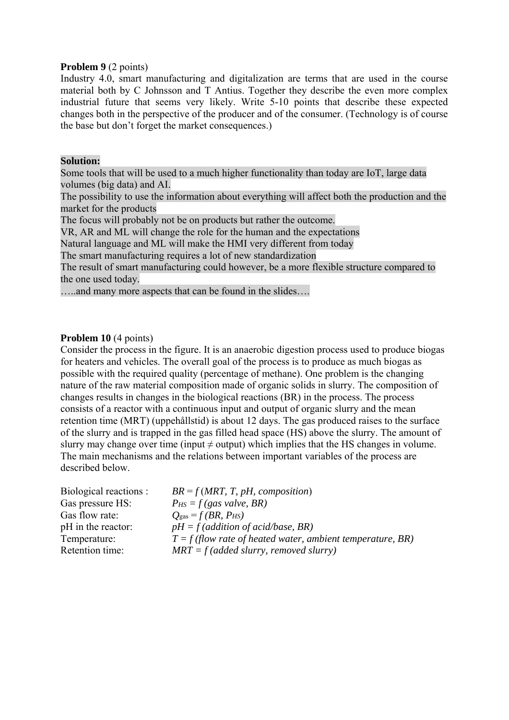## **Problem 9** (2 points)

Industry 4.0, smart manufacturing and digitalization are terms that are used in the course material both by C Johnsson and T Antius. Together they describe the even more complex industrial future that seems very likely. Write 5-10 points that describe these expected changes both in the perspective of the producer and of the consumer. (Technology is of course the base but don't forget the market consequences.)

## **Solution:**

Some tools that will be used to a much higher functionality than today are IoT, large data volumes (big data) and AI.

The possibility to use the information about everything will affect both the production and the market for the products

The focus will probably not be on products but rather the outcome.

VR, AR and ML will change the role for the human and the expectations

Natural language and ML will make the HMI very different from today

The smart manufacturing requires a lot of new standardization

The result of smart manufacturing could however, be a more flexible structure compared to the one used today.

…..and many more aspects that can be found in the slides….

# **Problem 10** (4 points)

Consider the process in the figure. It is an anaerobic digestion process used to produce biogas for heaters and vehicles. The overall goal of the process is to produce as much biogas as possible with the required quality (percentage of methane). One problem is the changing nature of the raw material composition made of organic solids in slurry. The composition of changes results in changes in the biological reactions (BR) in the process. The process consists of a reactor with a continuous input and output of organic slurry and the mean retention time (MRT) (uppehållstid) is about 12 days. The gas produced raises to the surface of the slurry and is trapped in the gas filled head space (HS) above the slurry. The amount of slurry may change over time (input  $\neq$  output) which implies that the HS changes in volume. The main mechanisms and the relations between important variables of the process are described below.

| Biological reactions : | $BR = f(MRT, T, pH, composition)$                            |
|------------------------|--------------------------------------------------------------|
| Gas pressure HS:       | $P_{HS} = f(gas value, BR)$                                  |
| Gas flow rate:         | $Q_{\rm gas} = f(BR, P_{\rm HS})$                            |
| pH in the reactor:     | $pH = f$ (addition of acid/base, BR)                         |
| Temperature:           | $T = f$ (flow rate of heated water, ambient temperature, BR) |
| Retention time:        | $MRT = f (added slurry, removed slurry)$                     |